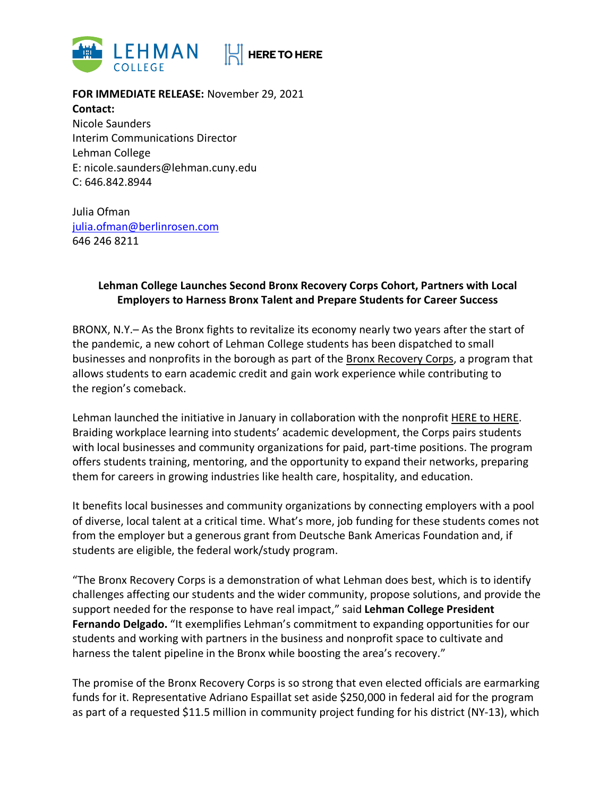

**FOR IMMEDIATE RELEASE:** November 29, 2021 **Contact:**  Nicole Saunders Interim Communications Director Lehman College E: nicole.saunders@lehman.cuny.edu C: 646.842.8944

Julia Ofman julia.ofman@berlinrosen.com 646 246 8211

## **Lehman College Launches Second Bronx Recovery Corps Cohort, Partners with Local Employers to Harness Bronx Talent and Prepare Students for Career Success**

BRONX, N.Y.– As the Bronx fights to revitalize its economy nearly two years after the start of the pandemic, a new cohort of Lehman College students has been dispatched to small businesses and nonprofits in the borough as part of the Bronx Recovery Corps, a program that allows students to earn academic credit and gain work experience while contributing to the region's comeback.

Lehman launched the initiative in January in collaboration with the nonprofit HERE to HERE. Braiding workplace learning into students' academic development, the Corps pairs students with local businesses and community organizations for paid, part-time positions. The program offers students training, mentoring, and the opportunity to expand their networks, preparing them for careers in growing industries like health care, hospitality, and education.

It benefits local businesses and community organizations by connecting employers with a pool of diverse, local talent at a critical time. What's more, job funding for these students comes not from the employer but a generous grant from Deutsche Bank Americas Foundation and, if students are eligible, the federal work/study program.

"The Bronx Recovery Corps is a demonstration of what Lehman does best, which is to identify challenges affecting our students and the wider community, propose solutions, and provide the support needed for the response to have real impact," said **Lehman College President Fernando Delgado.** "It exemplifies Lehman's commitment to expanding opportunities for our students and working with partners in the business and nonprofit space to cultivate and harness the talent pipeline in the Bronx while boosting the area's recovery."

The promise of the Bronx Recovery Corps is so strong that even elected officials are earmarking funds for it. Representative Adriano Espaillat set aside \$250,000 in federal aid for the program as part of a requested \$11.5 million in community project funding for his district (NY-13), which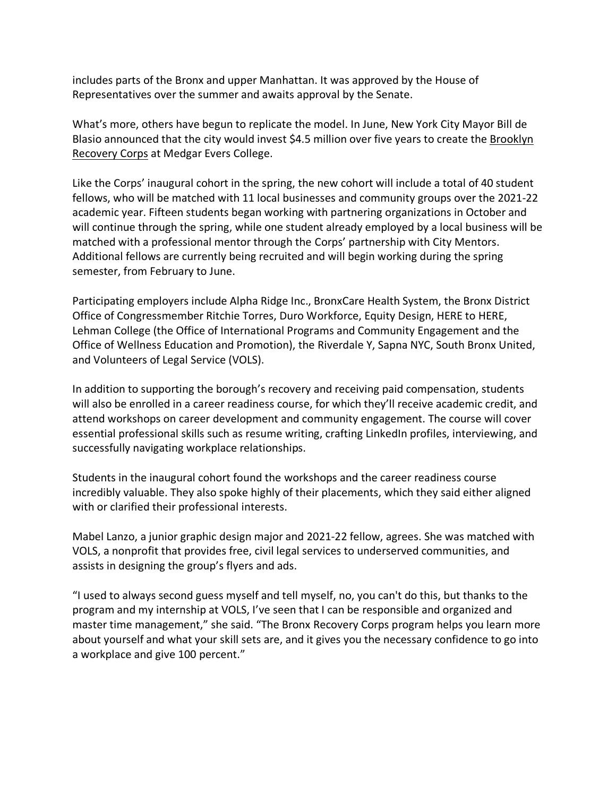includes parts of the Bronx and upper Manhattan. It was approved by the House of Representatives over the summer and awaits approval by the Senate.

What's more, others have begun to replicate the model. In June, New York City Mayor Bill de Blasio announced that the city would invest \$4.5 million over five years to create the Brooklyn Recovery Corps at Medgar Evers College.

Like the Corps' inaugural cohort in the spring, the new cohort will include a total of 40 student fellows, who will be matched with 11 local businesses and community groups over the 2021-22 academic year. Fifteen students began working with partnering organizations in October and will continue through the spring, while one student already employed by a local business will be matched with a professional mentor through the Corps' partnership with City Mentors. Additional fellows are currently being recruited and will begin working during the spring semester, from February to June.

Participating employers include Alpha Ridge Inc., BronxCare Health System, the Bronx District Office of Congressmember Ritchie Torres, Duro Workforce, Equity Design, HERE to HERE, Lehman College (the Office of International Programs and Community Engagement and the Office of Wellness Education and Promotion), the Riverdale Y, Sapna NYC, South Bronx United, and Volunteers of Legal Service (VOLS).

In addition to supporting the borough's recovery and receiving paid compensation, students will also be enrolled in a career readiness course, for which they'll receive academic credit, and attend workshops on career development and community engagement. The course will cover essential professional skills such as resume writing, crafting LinkedIn profiles, interviewing, and successfully navigating workplace relationships.

Students in the inaugural cohort found the workshops and the career readiness course incredibly valuable. They also spoke highly of their placements, which they said either aligned with or clarified their professional interests.

Mabel Lanzo, a junior graphic design major and 2021-22 fellow, agrees. She was matched with VOLS, a nonprofit that provides free, civil legal services to underserved communities, and assists in designing the group's flyers and ads.

"I used to always second guess myself and tell myself, no, you can't do this, but thanks to the program and my internship at VOLS, I've seen that I can be responsible and organized and master time management," she said. "The Bronx Recovery Corps program helps you learn more about yourself and what your skill sets are, and it gives you the necessary confidence to go into a workplace and give 100 percent."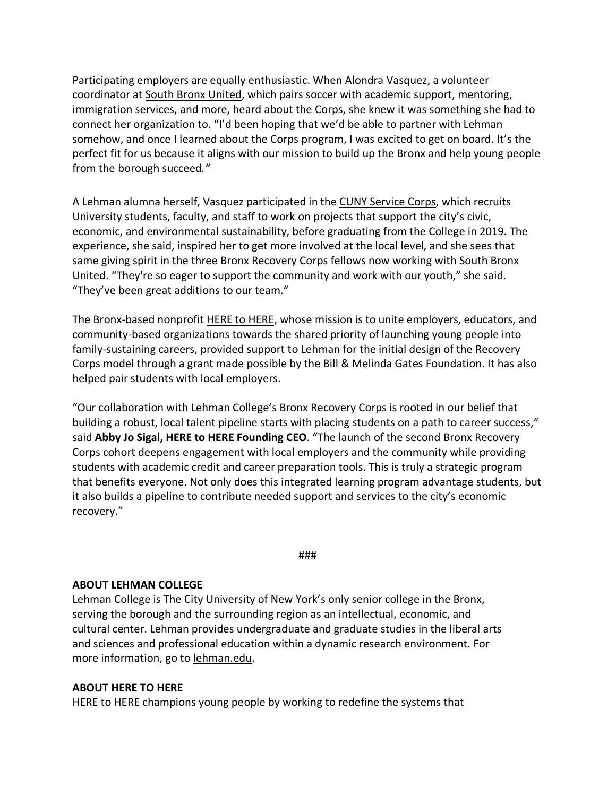Participating employers are equally enthusiastic. When Alondra Vasquez, a volunteer coordinator at South Bronx United, which pairs soccer with academic support, mentoring, immigration services, and more, heard about the Corps, she knew it was something she had to connect her organization to. "I'd been hoping that we'd be able to partner with Lehman somehow, and once I learned about the Corps program, I was excited to get on board. It's the perfect fit for us because it aligns with our mission to build up the Bronx and help young people from the borough succeed*."*

A Lehman alumna herself, Vasquez participated in the CUNY Service Corps, which recruits University students, faculty, and staff to work on projects that support the city's civic, economic, and environmental sustainability, before graduating from the College in 2019. The experience, she said, inspired her to get more involved at the local level, and she sees that same giving spirit in the three Bronx Recovery Corps fellows now working with South Bronx United. "They're so eager to support the community and work with our youth," she said. "They've been great additions to our team."

The Bronx-based nonprofit HERE to HERE, whose mission is to unite employers, educators, and community-based organizations towards the shared priority of launching young people into family-sustaining careers, provided support to Lehman for the initial design of the Recovery Corps model through a grant made possible by the Bill & Melinda Gates Foundation. It has also helped pair students with local employers.

"Our collaboration with Lehman College's Bronx Recovery Corps is rooted in our belief that building a robust, local talent pipeline starts with placing students on a path to career success," said **Abby Jo Sigal, HERE to HERE Founding CEO**. "The launch of the second Bronx Recovery Corps cohort deepens engagement with local employers and the community while providing students with academic credit and career preparation tools. This is truly a strategic program that benefits everyone. Not only does this integrated learning program advantage students, but it also builds a pipeline to contribute needed support and services to the city's economic recovery."

###

## **ABOUT LEHMAN COLLEGE**

Lehman College is The City University of New York's only senior college in the Bronx, serving the borough and the surrounding region as an intellectual, economic, and cultural center. Lehman provides undergraduate and graduate studies in the liberal arts and sciences and professional education within a dynamic research environment. For more information, go to lehman.edu.

## **ABOUT HERE TO HERE**

HERE to HERE champions young people by working to redefine the systems that